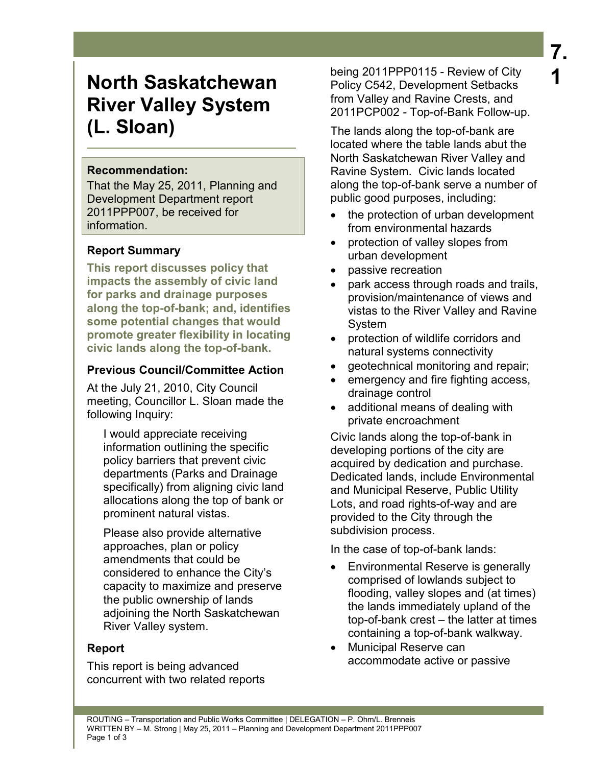# **North Saskatchewan River Valley System (L. Sloan)**

#### **Recommendation:**

That the May 25, 2011, Planning and Development Department report 2011PPP007, be received for information.

# **Report Summary**

**This report discusses policy that impacts the assembly of civic land for parks and drainage purposes along the top-of-bank; and, identifies some potential changes that would promote greater flexibility in locating civic lands along the top-of-bank.** 

# **Previous Council/Committee Action**

At the July 21, 2010, City Council meeting, Councillor L. Sloan made the following Inquiry:

I would appreciate receiving information outlining the specific policy barriers that prevent civic departments (Parks and Drainage specifically) from aligning civic land allocations along the top of bank or prominent natural vistas.

Please also provide alternative approaches, plan or policy amendments that could be considered to enhance the City's capacity to maximize and preserve the public ownership of lands adjoining the North Saskatchewan River Valley system.

# **Report**

This report is being advanced concurrent with two related reports

being 2011PPP0115 - Review of City Policy C542, Development Setbacks from Valley and Ravine Crests, and 2011PCP002 - Top-of-Bank Follow-up.

The lands along the top-of-bank are located where the table lands abut the North Saskatchewan River Valley and Ravine System. Civic lands located along the top-of-bank serve a number of public good purposes, including:

- the protection of urban development from environmental hazards
- protection of valley slopes from urban development
- passive recreation
- park access through roads and trails, provision/maintenance of views and vistas to the River Valley and Ravine System
- protection of wildlife corridors and natural systems connectivity
- geotechnical monitoring and repair;
- emergency and fire fighting access, drainage control
- additional means of dealing with private encroachment

Civic lands along the top-of-bank in developing portions of the city are acquired by dedication and purchase. Dedicated lands, include Environmental and Municipal Reserve, Public Utility Lots, and road rights-of-way and are provided to the City through the subdivision process.

In the case of top-of-bank lands:

- Environmental Reserve is generally comprised of lowlands subject to flooding, valley slopes and (at times) the lands immediately upland of the top-of-bank crest – the latter at times containing a top-of-bank walkway.
- Municipal Reserve can accommodate active or passive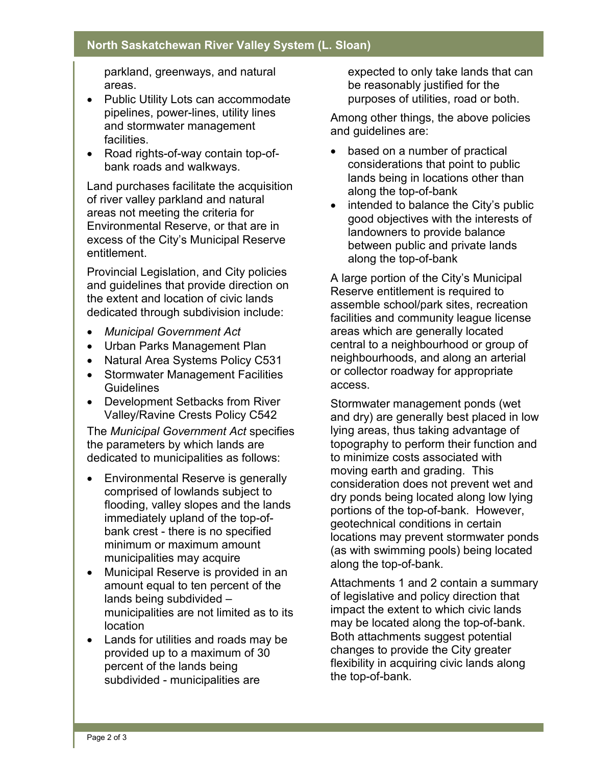#### **North Saskatchewan River Valley System (L. Sloan)**

parkland, greenways, and natural areas.

- Public Utility Lots can accommodate pipelines, power-lines, utility lines and stormwater management facilities.
- Road rights-of-way contain top-ofbank roads and walkways.

Land purchases facilitate the acquisition of river valley parkland and natural areas not meeting the criteria for Environmental Reserve, or that are in excess of the City's Municipal Reserve entitlement.

Provincial Legislation, and City policies and guidelines that provide direction on the extent and location of civic lands dedicated through subdivision include:

- *Municipal Government Act*
- Urban Parks Management Plan
- Natural Area Systems Policy C531
- Stormwater Management Facilities Guidelines
- Development Setbacks from River Valley/Ravine Crests Policy C542

The *Municipal Government Act* specifies the parameters by which lands are dedicated to municipalities as follows:

- Environmental Reserve is generally comprised of lowlands subject to flooding, valley slopes and the lands immediately upland of the top-ofbank crest - there is no specified minimum or maximum amount municipalities may acquire
- Municipal Reserve is provided in an amount equal to ten percent of the lands being subdivided – municipalities are not limited as to its location
- Lands for utilities and roads may be provided up to a maximum of 30 percent of the lands being subdivided - municipalities are

expected to only take lands that can be reasonably justified for the purposes of utilities, road or both.

Among other things, the above policies and guidelines are:

- based on a number of practical considerations that point to public lands being in locations other than along the top-of-bank
- intended to balance the City's public good objectives with the interests of landowners to provide balance between public and private lands along the top-of-bank

A large portion of the City's Municipal Reserve entitlement is required to assemble school/park sites, recreation facilities and community league license areas which are generally located central to a neighbourhood or group of neighbourhoods, and along an arterial or collector roadway for appropriate access.

Stormwater management ponds (wet and dry) are generally best placed in low lying areas, thus taking advantage of topography to perform their function and to minimize costs associated with moving earth and grading. This consideration does not prevent wet and dry ponds being located along low lying portions of the top-of-bank. However, geotechnical conditions in certain locations may prevent stormwater ponds (as with swimming pools) being located along the top-of-bank.

Attachments 1 and 2 contain a summary of legislative and policy direction that impact the extent to which civic lands may be located along the top-of-bank. Both attachments suggest potential changes to provide the City greater flexibility in acquiring civic lands along the top-of-bank.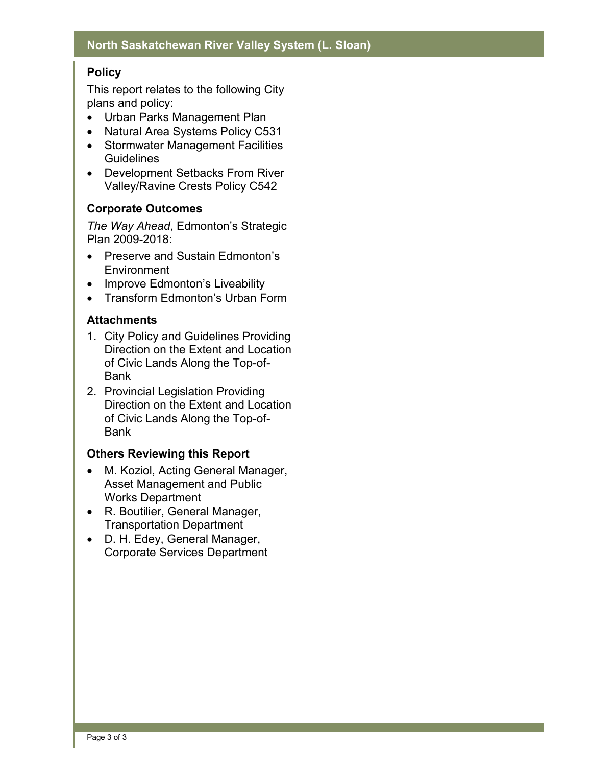# **Policy**

This report relates to the following City plans and policy:

- Urban Parks Management Plan
- Natural Area Systems Policy C531
- Stormwater Management Facilities **Guidelines**
- Development Setbacks From River Valley/Ravine Crests Policy C542

#### **Corporate Outcomes**

*The Way Ahead*, Edmonton's Strategic Plan 2009-2018:

- Preserve and Sustain Edmonton's **Environment**
- Improve Edmonton's Liveability
- Transform Edmonton's Urban Form

#### **Attachments**

- 1. City Policy and Guidelines Providing Direction on the Extent and Location of Civic Lands Along the Top-of-Bank
- 2. Provincial Legislation Providing Direction on the Extent and Location of Civic Lands Along the Top-of-Bank

# **Others Reviewing this Report**

- M. Koziol, Acting General Manager, Asset Management and Public Works Department
- R. Boutilier, General Manager, Transportation Department
- D. H. Edey, General Manager, Corporate Services Department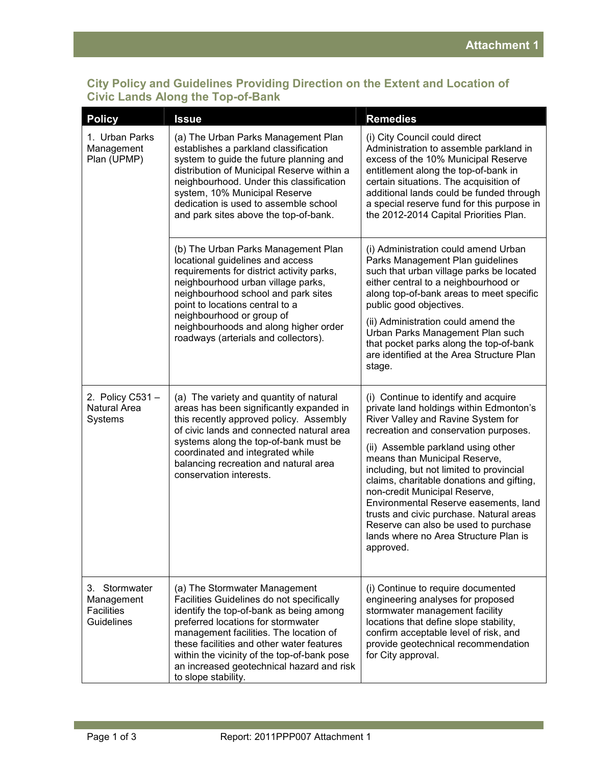#### **City Policy and Guidelines Providing Direction on the Extent and Location of Civic Lands Along the Top-of-Bank**

| <b>Policy</b>                                                         | <b>Issue</b>                                                                                                                                                                                                                                                                                                                                                          | <b>Remedies</b>                                                                                                                                                                                                                                                                                                                                                                                                                                                                                                                                    |
|-----------------------------------------------------------------------|-----------------------------------------------------------------------------------------------------------------------------------------------------------------------------------------------------------------------------------------------------------------------------------------------------------------------------------------------------------------------|----------------------------------------------------------------------------------------------------------------------------------------------------------------------------------------------------------------------------------------------------------------------------------------------------------------------------------------------------------------------------------------------------------------------------------------------------------------------------------------------------------------------------------------------------|
| 1. Urban Parks<br>Management<br>Plan (UPMP)                           | (a) The Urban Parks Management Plan<br>establishes a parkland classification<br>system to guide the future planning and<br>distribution of Municipal Reserve within a<br>neighbourhood. Under this classification<br>system, 10% Municipal Reserve<br>dedication is used to assemble school<br>and park sites above the top-of-bank.                                  | (i) City Council could direct<br>Administration to assemble parkland in<br>excess of the 10% Municipal Reserve<br>entitlement along the top-of-bank in<br>certain situations. The acquisition of<br>additional lands could be funded through<br>a special reserve fund for this purpose in<br>the 2012-2014 Capital Priorities Plan.                                                                                                                                                                                                               |
|                                                                       | (b) The Urban Parks Management Plan<br>locational guidelines and access<br>requirements for district activity parks,<br>neighbourhood urban village parks,<br>neighbourhood school and park sites<br>point to locations central to a<br>neighbourhood or group of<br>neighbourhoods and along higher order<br>roadways (arterials and collectors).                    | (i) Administration could amend Urban<br>Parks Management Plan guidelines<br>such that urban village parks be located<br>either central to a neighbourhood or<br>along top-of-bank areas to meet specific<br>public good objectives.<br>(ii) Administration could amend the<br>Urban Parks Management Plan such<br>that pocket parks along the top-of-bank<br>are identified at the Area Structure Plan<br>stage.                                                                                                                                   |
| 2. Policy C531-<br><b>Natural Area</b><br>Systems                     | (a) The variety and quantity of natural<br>areas has been significantly expanded in<br>this recently approved policy. Assembly<br>of civic lands and connected natural area<br>systems along the top-of-bank must be<br>coordinated and integrated while<br>balancing recreation and natural area<br>conservation interests.                                          | (i) Continue to identify and acquire<br>private land holdings within Edmonton's<br>River Valley and Ravine System for<br>recreation and conservation purposes.<br>(ii) Assemble parkland using other<br>means than Municipal Reserve,<br>including, but not limited to provincial<br>claims, charitable donations and gifting,<br>non-credit Municipal Reserve,<br>Environmental Reserve easements, land<br>trusts and civic purchase. Natural areas<br>Reserve can also be used to purchase<br>lands where no Area Structure Plan is<br>approved. |
| 3. Stormwater<br>Management<br><b>Facilities</b><br><b>Guidelines</b> | (a) The Stormwater Management<br>Facilities Guidelines do not specifically<br>identify the top-of-bank as being among<br>preferred locations for stormwater<br>management facilities. The location of<br>these facilities and other water features<br>within the vicinity of the top-of-bank pose<br>an increased geotechnical hazard and risk<br>to slope stability. | (i) Continue to require documented<br>engineering analyses for proposed<br>stormwater management facility<br>locations that define slope stability,<br>confirm acceptable level of risk, and<br>provide geotechnical recommendation<br>for City approval.                                                                                                                                                                                                                                                                                          |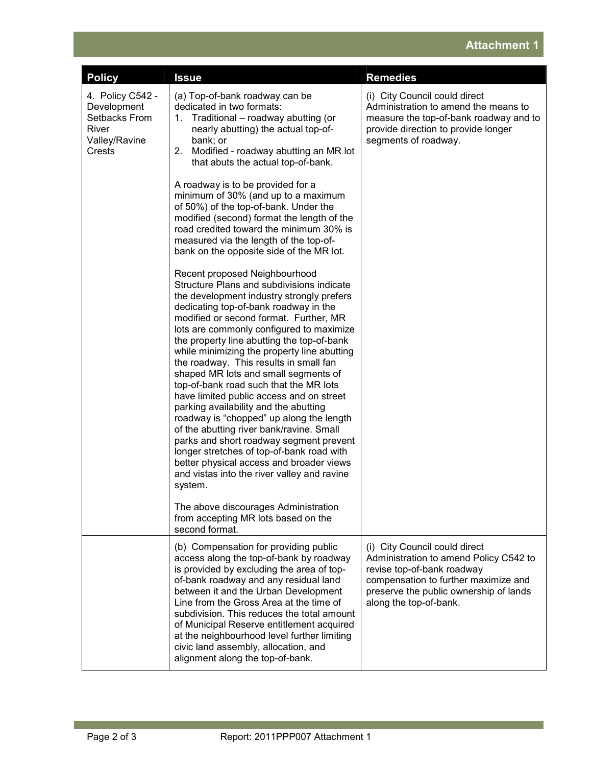# **Attachment 1**

| <b>Policy</b>                                                                        | <b>Issue</b>                                                                                                                                                                                                                                                                                                                                                                                                                                                                                                                                                                                                                                                                                                                                                                                                                                                                                                                                                                                                                                                                                                                                                                                                                                                                                                                                            | <b>Remedies</b>                                                                                                                                                                                                   |
|--------------------------------------------------------------------------------------|---------------------------------------------------------------------------------------------------------------------------------------------------------------------------------------------------------------------------------------------------------------------------------------------------------------------------------------------------------------------------------------------------------------------------------------------------------------------------------------------------------------------------------------------------------------------------------------------------------------------------------------------------------------------------------------------------------------------------------------------------------------------------------------------------------------------------------------------------------------------------------------------------------------------------------------------------------------------------------------------------------------------------------------------------------------------------------------------------------------------------------------------------------------------------------------------------------------------------------------------------------------------------------------------------------------------------------------------------------|-------------------------------------------------------------------------------------------------------------------------------------------------------------------------------------------------------------------|
| 4. Policy C542 -<br>Development<br>Setbacks From<br>River<br>Valley/Ravine<br>Crests | (a) Top-of-bank roadway can be<br>dedicated in two formats:<br>Traditional - roadway abutting (or<br>1.<br>nearly abutting) the actual top-of-<br>bank; or<br>Modified - roadway abutting an MR lot<br>2.<br>that abuts the actual top-of-bank.<br>A roadway is to be provided for a<br>minimum of 30% (and up to a maximum<br>of 50%) of the top-of-bank. Under the<br>modified (second) format the length of the<br>road credited toward the minimum 30% is<br>measured via the length of the top-of-<br>bank on the opposite side of the MR lot.<br>Recent proposed Neighbourhood<br>Structure Plans and subdivisions indicate<br>the development industry strongly prefers<br>dedicating top-of-bank roadway in the<br>modified or second format. Further, MR<br>lots are commonly configured to maximize<br>the property line abutting the top-of-bank<br>while minimizing the property line abutting<br>the roadway. This results in small fan<br>shaped MR lots and small segments of<br>top-of-bank road such that the MR lots<br>have limited public access and on street<br>parking availability and the abutting<br>roadway is "chopped" up along the length<br>of the abutting river bank/ravine. Small<br>parks and short roadway segment prevent<br>longer stretches of top-of-bank road with<br>better physical access and broader views | (i) City Council could direct<br>Administration to amend the means to<br>measure the top-of-bank roadway and to<br>provide direction to provide longer<br>segments of roadway.                                    |
|                                                                                      | and vistas into the river valley and ravine<br>system.<br>The above discourages Administration<br>from accepting MR lots based on the                                                                                                                                                                                                                                                                                                                                                                                                                                                                                                                                                                                                                                                                                                                                                                                                                                                                                                                                                                                                                                                                                                                                                                                                                   |                                                                                                                                                                                                                   |
|                                                                                      | second format.<br>(b) Compensation for providing public<br>access along the top-of-bank by roadway<br>is provided by excluding the area of top-<br>of-bank roadway and any residual land<br>between it and the Urban Development<br>Line from the Gross Area at the time of<br>subdivision. This reduces the total amount<br>of Municipal Reserve entitlement acquired<br>at the neighbourhood level further limiting<br>civic land assembly, allocation, and<br>alignment along the top-of-bank.                                                                                                                                                                                                                                                                                                                                                                                                                                                                                                                                                                                                                                                                                                                                                                                                                                                       | (i) City Council could direct<br>Administration to amend Policy C542 to<br>revise top-of-bank roadway<br>compensation to further maximize and<br>preserve the public ownership of lands<br>along the top-of-bank. |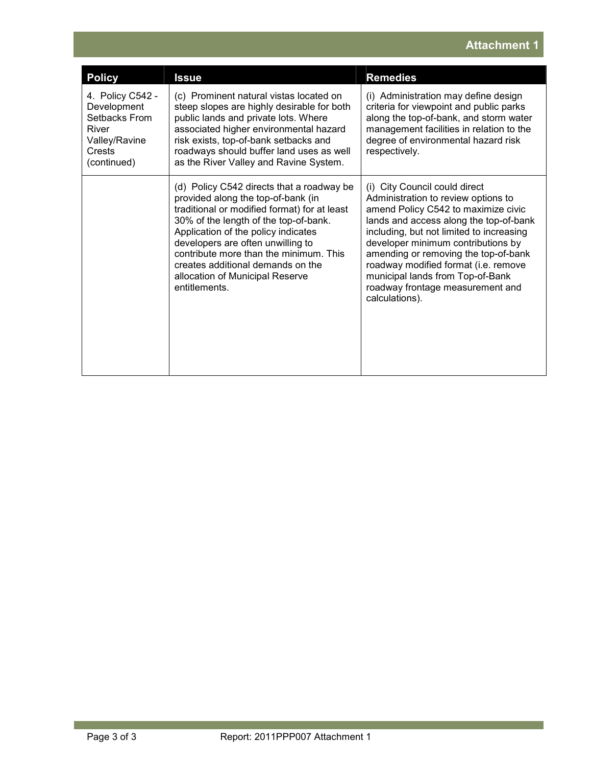# **Attachment 1**

| <b>Policy</b>                                                                                       | <b>Issue</b>                                                                                                                                                                                                                                                                                                                                                                            | <b>Remedies</b>                                                                                                                                                                                                                                                                                                                                                                                                   |
|-----------------------------------------------------------------------------------------------------|-----------------------------------------------------------------------------------------------------------------------------------------------------------------------------------------------------------------------------------------------------------------------------------------------------------------------------------------------------------------------------------------|-------------------------------------------------------------------------------------------------------------------------------------------------------------------------------------------------------------------------------------------------------------------------------------------------------------------------------------------------------------------------------------------------------------------|
| 4. Policy C542 -<br>Development<br>Setbacks From<br>River<br>Valley/Ravine<br>Crests<br>(continued) | (c) Prominent natural vistas located on<br>steep slopes are highly desirable for both<br>public lands and private lots. Where<br>associated higher environmental hazard<br>risk exists, top-of-bank setbacks and<br>roadways should buffer land uses as well<br>as the River Valley and Ravine System.                                                                                  | (i) Administration may define design<br>criteria for viewpoint and public parks<br>along the top-of-bank, and storm water<br>management facilities in relation to the<br>degree of environmental hazard risk<br>respectively.                                                                                                                                                                                     |
|                                                                                                     | (d) Policy C542 directs that a roadway be<br>provided along the top-of-bank (in<br>traditional or modified format) for at least<br>30% of the length of the top-of-bank.<br>Application of the policy indicates<br>developers are often unwilling to<br>contribute more than the minimum. This<br>creates additional demands on the<br>allocation of Municipal Reserve<br>entitlements. | (i) City Council could direct<br>Administration to review options to<br>amend Policy C542 to maximize civic<br>lands and access along the top-of-bank<br>including, but not limited to increasing<br>developer minimum contributions by<br>amending or removing the top-of-bank<br>roadway modified format (i.e. remove<br>municipal lands from Top-of-Bank<br>roadway frontage measurement and<br>calculations). |